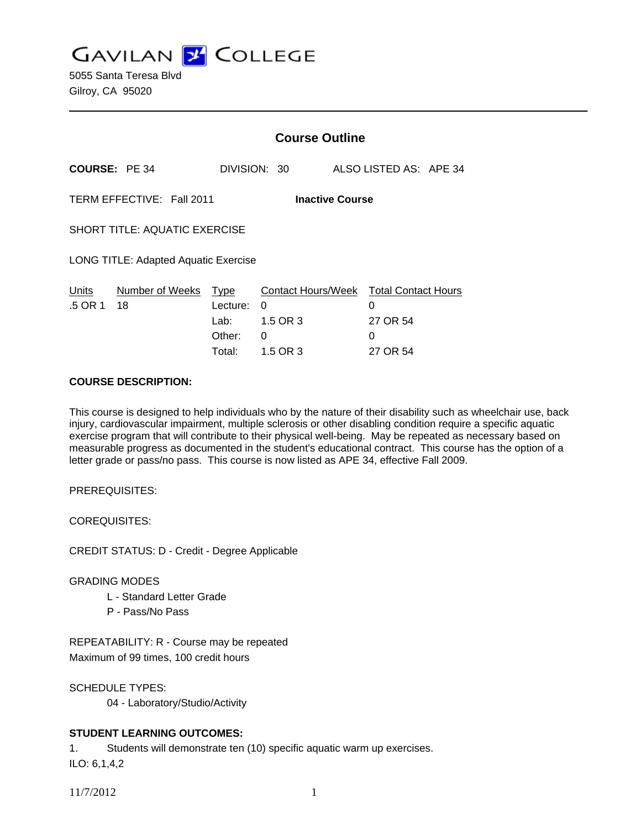**GAVILAN J COLLEGE** 

|                                                     |                       | <b>Course Outline</b>                        |                                                      |                        |                                                    |  |
|-----------------------------------------------------|-----------------------|----------------------------------------------|------------------------------------------------------|------------------------|----------------------------------------------------|--|
| <b>COURSE: PE 34</b>                                |                       |                                              | DIVISION: 30                                         | ALSO LISTED AS: APE 34 |                                                    |  |
| TERM EFFECTIVE: Fall 2011<br><b>Inactive Course</b> |                       |                                              |                                                      |                        |                                                    |  |
| <b>SHORT TITLE: AQUATIC EXERCISE</b>                |                       |                                              |                                                      |                        |                                                    |  |
| <b>LONG TITLE: Adapted Aquatic Exercise</b>         |                       |                                              |                                                      |                        |                                                    |  |
| Units<br>.5 OR 1                                    | Number of Weeks<br>18 | Type<br>Lecture:<br>Lab:<br>Other:<br>Total: | Contact Hours/Week<br>0<br>1.5 OR 3<br>0<br>1.5 OR 3 | 0<br>0                 | <b>Total Contact Hours</b><br>27 OR 54<br>27 OR 54 |  |
|                                                     |                       |                                              |                                                      |                        |                                                    |  |

### **COURSE DESCRIPTION:**

This course is designed to help individuals who by the nature of their disability such as wheelchair use, back injury, cardiovascular impairment, multiple sclerosis or other disabling condition require a specific aquatic exercise program that will contribute to their physical well-being. May be repeated as necessary based on measurable progress as documented in the student's educational contract. This course has the option of a letter grade or pass/no pass. This course is now listed as APE 34, effective Fall 2009.

PREREQUISITES:

COREQUISITES:

CREDIT STATUS: D - Credit - Degree Applicable

# GRADING MODES

- L Standard Letter Grade
- P Pass/No Pass

REPEATABILITY: R - Course may be repeated Maximum of 99 times, 100 credit hours

SCHEDULE TYPES:

04 - Laboratory/Studio/Activity

# **STUDENT LEARNING OUTCOMES:**

1. Students will demonstrate ten (10) specific aquatic warm up exercises.

ILO: 6,1,4,2

11/7/2012 1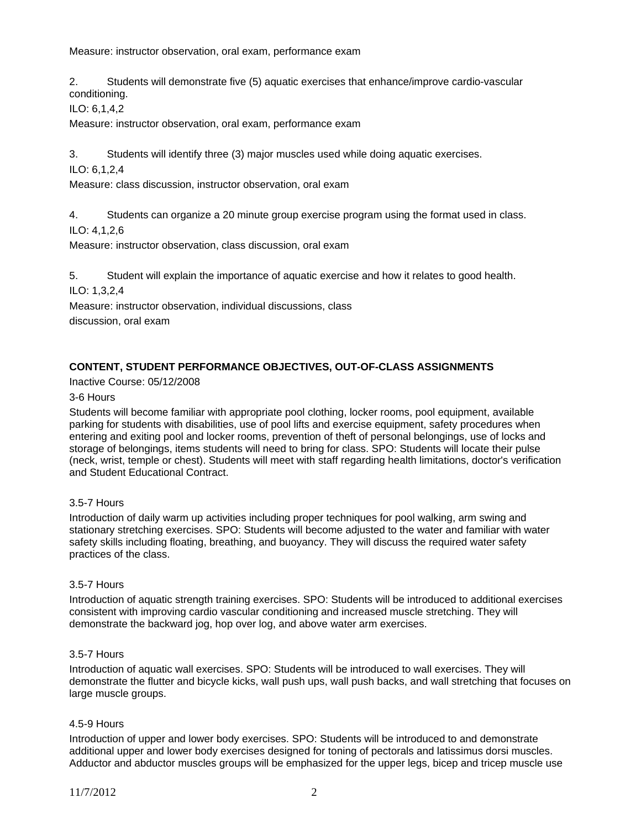Measure: instructor observation, oral exam, performance exam

2. Students will demonstrate five (5) aquatic exercises that enhance/improve cardio-vascular conditioning.

ILO: 6,1,4,2

Measure: instructor observation, oral exam, performance exam

3. Students will identify three (3) major muscles used while doing aquatic exercises.

ILO: 6,1,2,4

Measure: class discussion, instructor observation, oral exam

4. Students can organize a 20 minute group exercise program using the format used in class.

ILO: 4,1,2,6

Measure: instructor observation, class discussion, oral exam

5. Student will explain the importance of aquatic exercise and how it relates to good health.

ILO: 1,3,2,4

Measure: instructor observation, individual discussions, class

discussion, oral exam

# **CONTENT, STUDENT PERFORMANCE OBJECTIVES, OUT-OF-CLASS ASSIGNMENTS**

Inactive Course: 05/12/2008

### 3-6 Hours

Students will become familiar with appropriate pool clothing, locker rooms, pool equipment, available parking for students with disabilities, use of pool lifts and exercise equipment, safety procedures when entering and exiting pool and locker rooms, prevention of theft of personal belongings, use of locks and storage of belongings, items students will need to bring for class. SPO: Students will locate their pulse (neck, wrist, temple or chest). Students will meet with staff regarding health limitations, doctor's verification and Student Educational Contract.

### 3.5-7 Hours

Introduction of daily warm up activities including proper techniques for pool walking, arm swing and stationary stretching exercises. SPO: Students will become adjusted to the water and familiar with water safety skills including floating, breathing, and buoyancy. They will discuss the required water safety practices of the class.

# 3.5-7 Hours

Introduction of aquatic strength training exercises. SPO: Students will be introduced to additional exercises consistent with improving cardio vascular conditioning and increased muscle stretching. They will demonstrate the backward jog, hop over log, and above water arm exercises.

# 3.5-7 Hours

Introduction of aquatic wall exercises. SPO: Students will be introduced to wall exercises. They will demonstrate the flutter and bicycle kicks, wall push ups, wall push backs, and wall stretching that focuses on large muscle groups.

#### 4.5-9 Hours

Introduction of upper and lower body exercises. SPO: Students will be introduced to and demonstrate additional upper and lower body exercises designed for toning of pectorals and latissimus dorsi muscles. Adductor and abductor muscles groups will be emphasized for the upper legs, bicep and tricep muscle use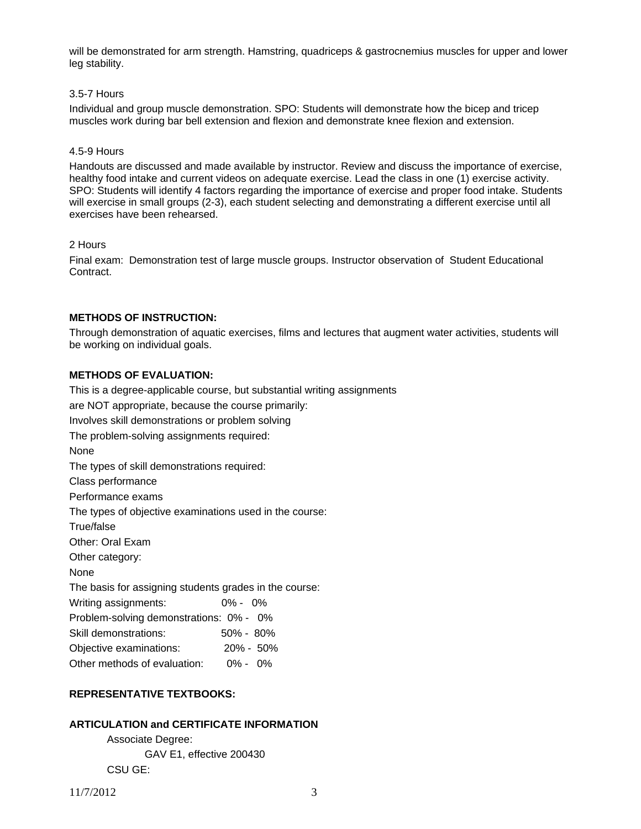will be demonstrated for arm strength. Hamstring, quadriceps & gastrocnemius muscles for upper and lower leg stability.

#### 3.5-7 Hours

Individual and group muscle demonstration. SPO: Students will demonstrate how the bicep and tricep muscles work during bar bell extension and flexion and demonstrate knee flexion and extension.

#### 4.5-9 Hours

Handouts are discussed and made available by instructor. Review and discuss the importance of exercise, healthy food intake and current videos on adequate exercise. Lead the class in one (1) exercise activity. SPO: Students will identify 4 factors regarding the importance of exercise and proper food intake. Students will exercise in small groups (2-3), each student selecting and demonstrating a different exercise until all exercises have been rehearsed.

### 2 Hours

Final exam: Demonstration test of large muscle groups. Instructor observation of Student Educational Contract.

# **METHODS OF INSTRUCTION:**

Through demonstration of aquatic exercises, films and lectures that augment water activities, students will be working on individual goals.

# **METHODS OF EVALUATION:**

This is a degree-applicable course, but substantial writing assignments are NOT appropriate, because the course primarily: Involves skill demonstrations or problem solving The problem-solving assignments required: None The types of skill demonstrations required: Class performance Performance exams The types of objective examinations used in the course: True/false Other: Oral Exam Other category: None The basis for assigning students grades in the course: Writing assignments: 0% - 0% Problem-solving demonstrations: 0% - 0% Skill demonstrations: 50% - 80% Objective examinations: 20% - 50% Other methods of evaluation: 0% - 0%

# **REPRESENTATIVE TEXTBOOKS:**

# **ARTICULATION and CERTIFICATE INFORMATION**

 Associate Degree: GAV E1, effective 200430 CSU GE: